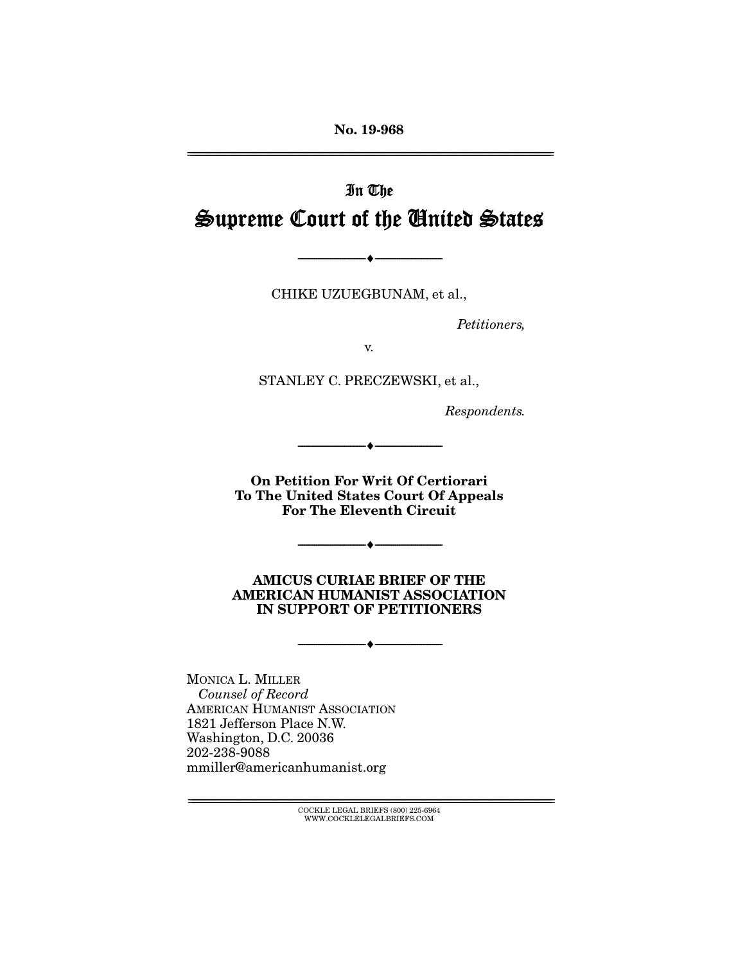**No. 19-968** 

# In The Supreme Court of the United States

CHIKE UZUEGBUNAM, et al.,

 $\overbrace{\hspace{27mm}}$   $\overbrace{\hspace{27mm}}$ 

Petitioners,

STANLEY C. PRECZEWSKI, et al.,

Respondents.

**On Petition For Writ Of Certiorari To The United States Court Of Appeals For The Eleventh Circuit** 

--------------------------------- ♦ ---------------------------------

 $\longrightarrow$   $\longleftarrow$   $\longleftarrow$   $\longleftarrow$   $\longleftarrow$   $\longleftarrow$   $\longleftarrow$   $\longleftarrow$   $\longleftarrow$   $\longleftarrow$   $\longleftarrow$   $\longleftarrow$   $\longleftarrow$   $\longleftarrow$   $\longleftarrow$   $\longleftarrow$   $\longleftarrow$   $\longleftarrow$   $\longleftarrow$   $\longleftarrow$   $\longleftarrow$   $\longleftarrow$   $\longleftarrow$   $\longleftarrow$   $\longleftarrow$   $\longleftarrow$   $\longleftarrow$   $\longleftarrow$   $\longleftarrow$   $\longleftarrow$   $\longleftarrow$   $\longleftarrow$ 

**AMICUS CURIAE BRIEF OF THE AMERICAN HUMANIST ASSOCIATION IN SUPPORT OF PETITIONERS** 

--------------------------------- ♦ ---------------------------------

Counsel of Record AMERICAN HUMANIST ASSOCIATION<br>1821 Jefferson Place N.W. Washington, D.C. 20036 202-238-9088 2022000<br>mmiller@amer  $\frac{1}{2}$ 

> $\text{COCKLE LEGAL BRIEFS}$  (800) 225-6964 WWW.COCKLELEGALBRIEFS.COM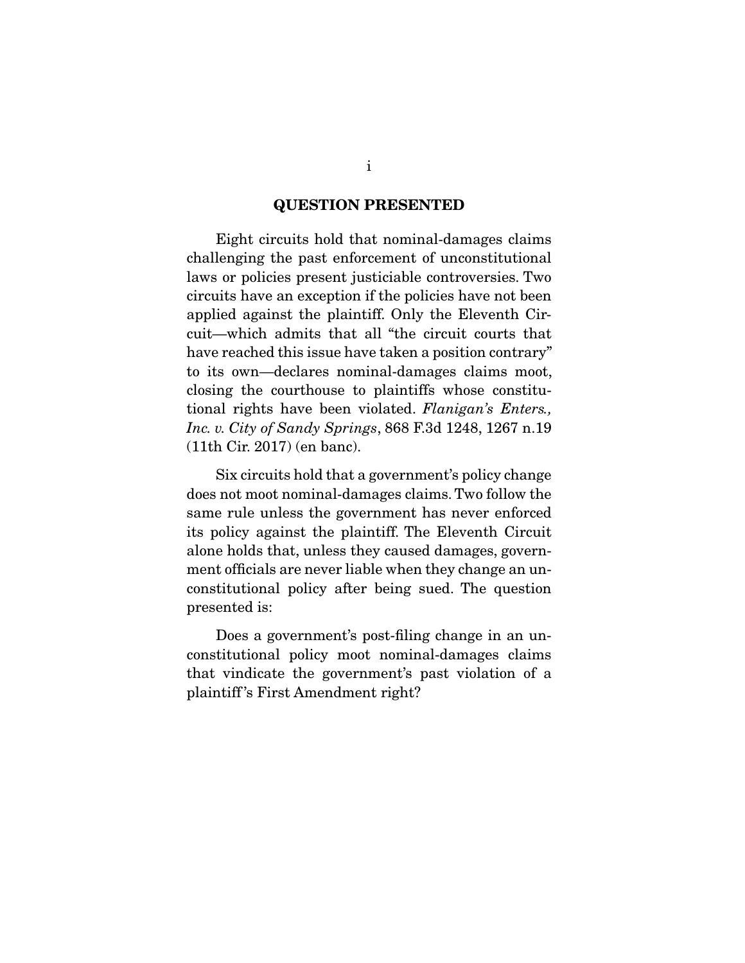#### **QUESTION PRESENTED**

Eight circuits hold that nominal-damages claims<br>challenging the past enforcement of unconstitutional laws or policies present justiciable controversies. Two circuits have an exception if the policies have not been applied against the plaintiff. Only the Eleventh Circuit—which admits that all "the circuit courts that have reached this issue have taken a position contrary" to its own—declares nominal-damages claims moot, closing the courthouse to plaintiffs whose constitutional rights have been violated. *Flanigan's Enters.*,<br>Inc. v. City of Sandy Springs 868 F.3d 1948, 1967 p. 10 *Inc. v. City of Sandy Springs*, 868 F.3d 1248, 1267 n.19  $(1 + 1)$ th Circ 2017) (en bancon).

 Six circuits hold that a government's policy change same rule unless the government has never enforced its policy against the plaintiff. The Eleventh Circuit alone holds that, unless they caused damages, government officials are never liable when they change an unconstitutional policy after being sued. The question  $\frac{1}{2}$  constant being policies being such such  $\frac{1}{2}$  and  $\frac{1}{2}$ presented is:

Does a government's post-filing change in an un-<br>constitutional policy moot nominal-damages claims that vindicate the government's past violation of a plaintiff's First Amendment right?  $p$  and  $p$  and  $p$   $\alpha$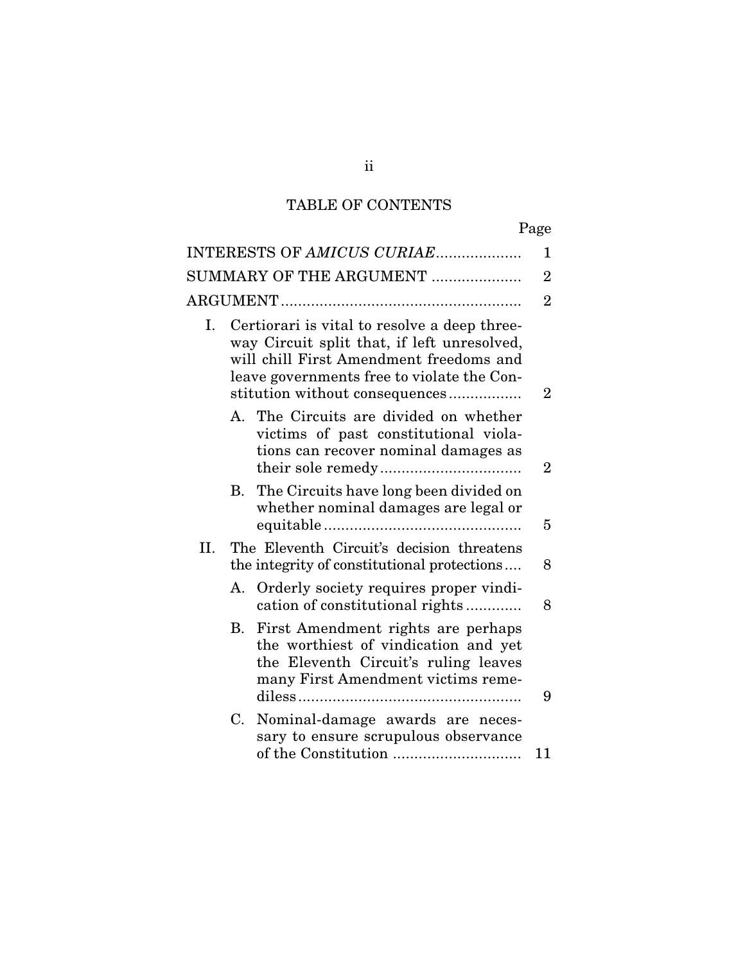# TABLE OF CONTENTS

| INTERESTS OF AMICUS CURIAE |                                                                                                                                                                                                                        |                                                                                                                                                          |                |  |
|----------------------------|------------------------------------------------------------------------------------------------------------------------------------------------------------------------------------------------------------------------|----------------------------------------------------------------------------------------------------------------------------------------------------------|----------------|--|
| SUMMARY OF THE ARGUMENT    |                                                                                                                                                                                                                        |                                                                                                                                                          |                |  |
|                            |                                                                                                                                                                                                                        |                                                                                                                                                          |                |  |
| Ι.                         | Certiorari is vital to resolve a deep three-<br>way Circuit split that, if left unresolved,<br>will chill First Amendment freedoms and<br>leave governments free to violate the Con-<br>stitution without consequences |                                                                                                                                                          |                |  |
|                            | $A_{1}$                                                                                                                                                                                                                | The Circuits are divided on whether<br>victims of past constitutional viola-<br>tions can recover nominal damages as                                     | $\overline{2}$ |  |
|                            | $B_{\cdot}$                                                                                                                                                                                                            | The Circuits have long been divided on<br>whether nominal damages are legal or                                                                           | 5              |  |
| II.                        | The Eleventh Circuit's decision threatens<br>the integrity of constitutional protections                                                                                                                               |                                                                                                                                                          |                |  |
|                            | А.                                                                                                                                                                                                                     | Orderly society requires proper vindi-<br>cation of constitutional rights                                                                                | 8              |  |
|                            | B.                                                                                                                                                                                                                     | First Amendment rights are perhaps<br>the worthiest of vindication and yet<br>the Eleventh Circuit's ruling leaves<br>many First Amendment victims reme- | 9              |  |
|                            | C.                                                                                                                                                                                                                     | Nominal-damage awards are neces-<br>sary to ensure scrupulous observance                                                                                 | 11             |  |
|                            |                                                                                                                                                                                                                        |                                                                                                                                                          |                |  |

ii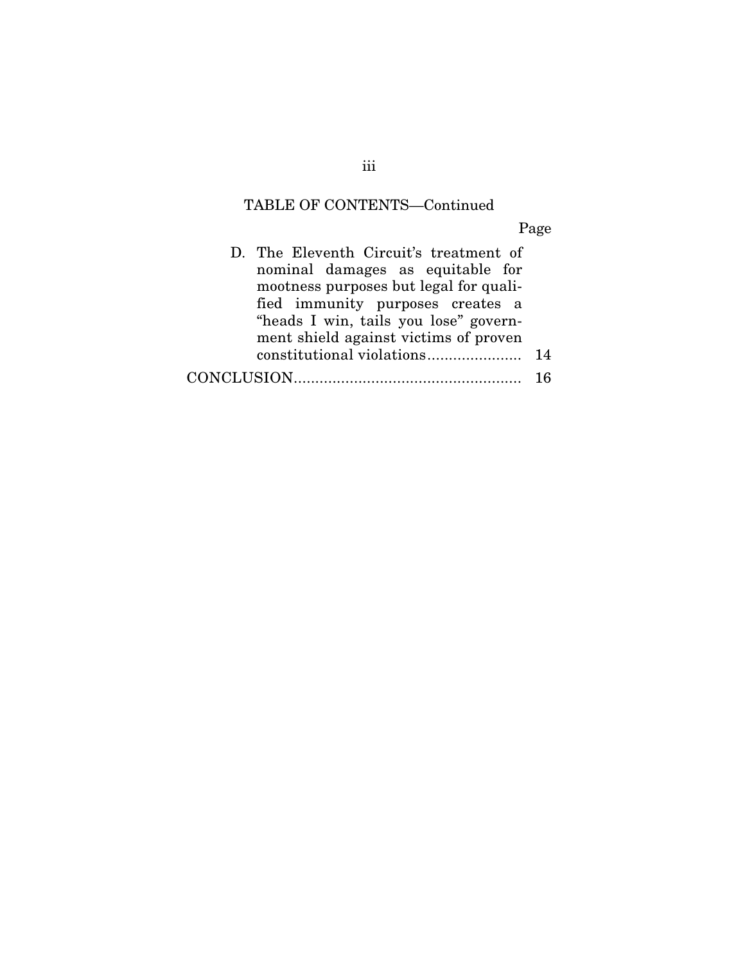## TABLE OF CONTENTS—Continued

Page

| D. The Eleventh Circuit's treatment of |     |
|----------------------------------------|-----|
| nominal damages as equitable for       |     |
| mootness purposes but legal for quali- |     |
| fied immunity purposes creates a       |     |
| "heads I win, tails you lose" govern-  |     |
| ment shield against victims of proven  |     |
|                                        | 14  |
|                                        | 1 ፎ |
|                                        |     |

iii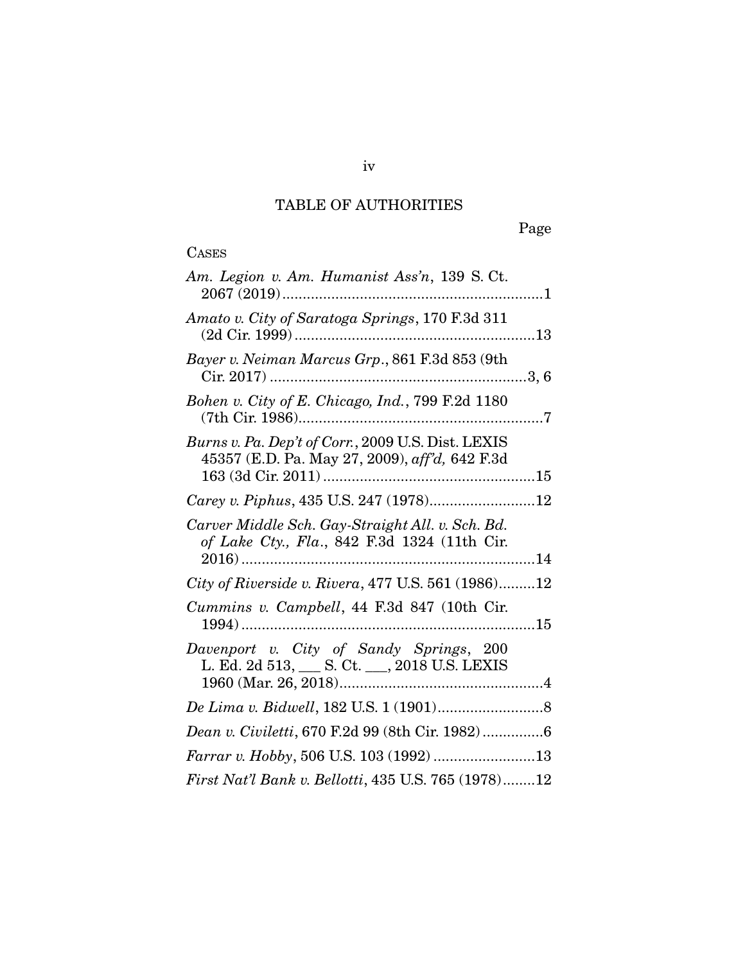## TABLE OF AUTHORITIES

# **CASES**

| Carey v. Piphus, 435 U.S. 247 (1978)12              |
|-----------------------------------------------------|
|                                                     |
| City of Riverside v. Rivera, 477 U.S. 561 (1986)12  |
|                                                     |
|                                                     |
|                                                     |
| Dean v. Civiletti, 670 F.2d 99 (8th Cir. 1982)6     |
|                                                     |
| First Nat'l Bank v. Bellotti, 435 U.S. 765 (1978)12 |
|                                                     |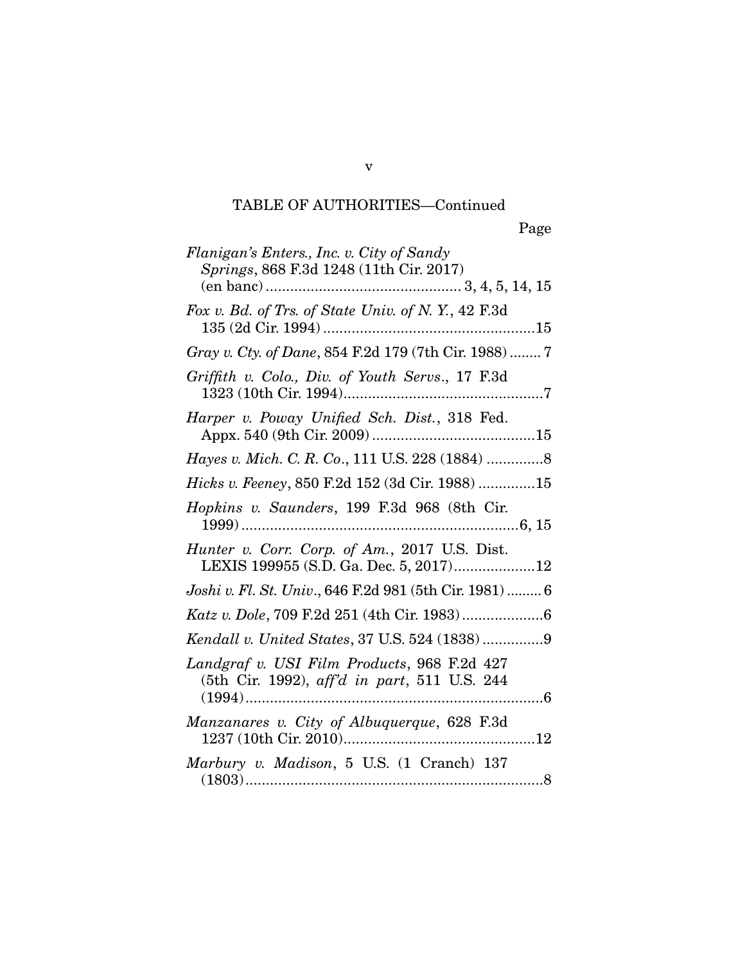## TABLE OF AUTHORITIES—Continued

| Flanigan's Enters., Inc. v. City of Sandy<br>Springs, 868 F.3d 1248 (11th Cir. 2017)        |
|---------------------------------------------------------------------------------------------|
|                                                                                             |
| Fox v. Bd. of Trs. of State Univ. of N.Y., 42 F.3d                                          |
| Gray v. Cty. of Dane, 854 F.2d 179 (7th Cir. 1988)  7                                       |
| Griffith v. Colo., Div. of Youth Servs., 17 F.3d                                            |
| Harper v. Poway Unified Sch. Dist., 318 Fed.                                                |
| Hayes v. Mich. C. R. Co., 111 U.S. 228 (1884)  8                                            |
| <i>Hicks v. Feeney, 850 F.2d 152 (3d Cir. 1988) 15</i>                                      |
| Hopkins v. Saunders, 199 F.3d 968 (8th Cir.                                                 |
| Hunter v. Corr. Corp. of Am., 2017 U.S. Dist.<br>LEXIS 199955 (S.D. Ga. Dec. 5, 2017)12     |
| Joshi v. Fl. St. Univ., 646 F.2d 981 (5th Cir. 1981)  6                                     |
|                                                                                             |
|                                                                                             |
| Landgraf v. USI Film Products, 968 F.2d 427<br>(5th Cir. 1992), aff'd in part, 511 U.S. 244 |
|                                                                                             |
| Manzanares v. City of Albuquerque, 628 F.3d<br>1237 (10th Cir. 2010)<br>. 12                |

(1803) ......................................................................... 8

v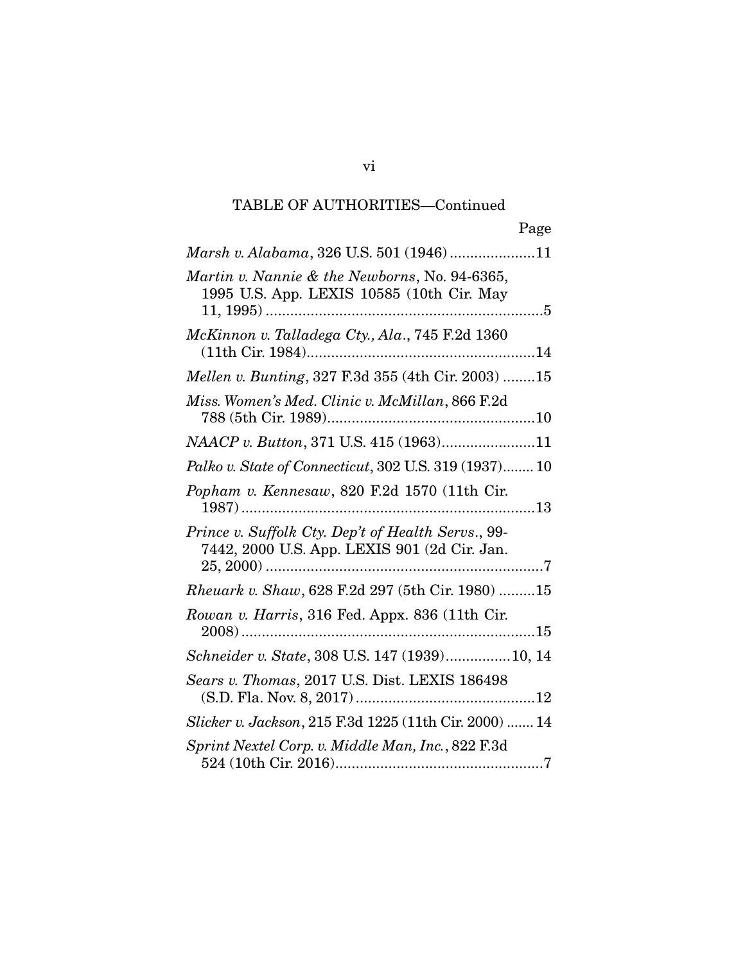# TABLE OF AUTHORITIES—Continued

(S.D. Fla. Nov. 8, 2017) ............................................ 12 *Slicker v. Jackson*, 215 F.3d 1225 (11th Cir. 2000) ....... 14

*Sprint Nextel Corp. v. Middle Man, Inc.*, 822 F.3d 524 (10th Cir. 2016) ................................................... 7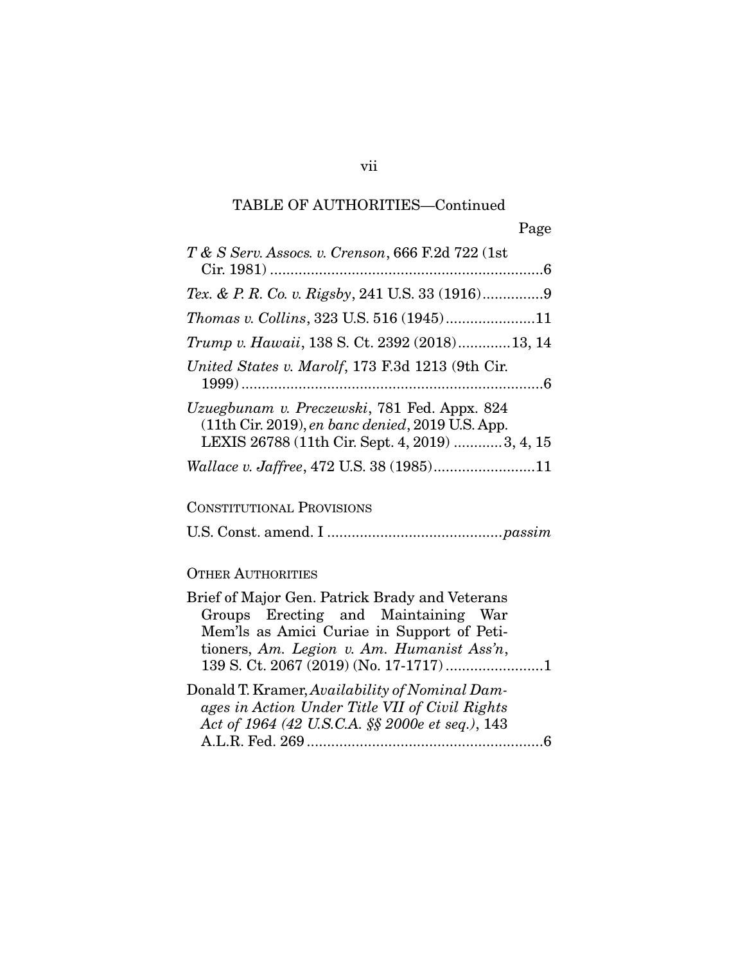## TABLE OF AUTHORITIES—Continued

| T & S Serv. Assocs. v. Crenson, 666 F.2d 722 (1st                                                                                                                                 |
|-----------------------------------------------------------------------------------------------------------------------------------------------------------------------------------|
|                                                                                                                                                                                   |
| Thomas v. Collins, 323 U.S. 516 (1945)11                                                                                                                                          |
| Trump v. Hawaii, 138 S. Ct. 2392 (2018)13, 14                                                                                                                                     |
| United States v. Marolf, 173 F.3d 1213 (9th Cir.                                                                                                                                  |
| Uzuegbunam v. Preczewski, 781 Fed. Appx. 824<br>$(11th$ Cir. 2019), en banc denied, 2019 U.S. App.<br>LEXIS 26788 (11th Cir. Sept. 4, 2019) 3, 4, 15                              |
| Wallace v. Jaffree, 472 U.S. 38 (1985)11                                                                                                                                          |
| <b>CONSTITUTIONAL PROVISIONS</b>                                                                                                                                                  |
|                                                                                                                                                                                   |
| <b>OTHER AUTHORITIES</b>                                                                                                                                                          |
| Brief of Major Gen. Patrick Brady and Veterans<br>Groups Erecting and Maintaining War<br>Mem'ls as Amici Curiae in Support of Peti-<br>tioners, Am. Legion v. Am. Humanist Ass'n, |
| Donald T. Kramer, Availability of Nominal Dam-<br>ages in Action Under Title VII of Civil Rights<br>Act of 1964 (42 U.S.C.A. §§ 2000e et seq.), 143<br>6                          |

A.L.R. Fed. 269 .......................................................... 6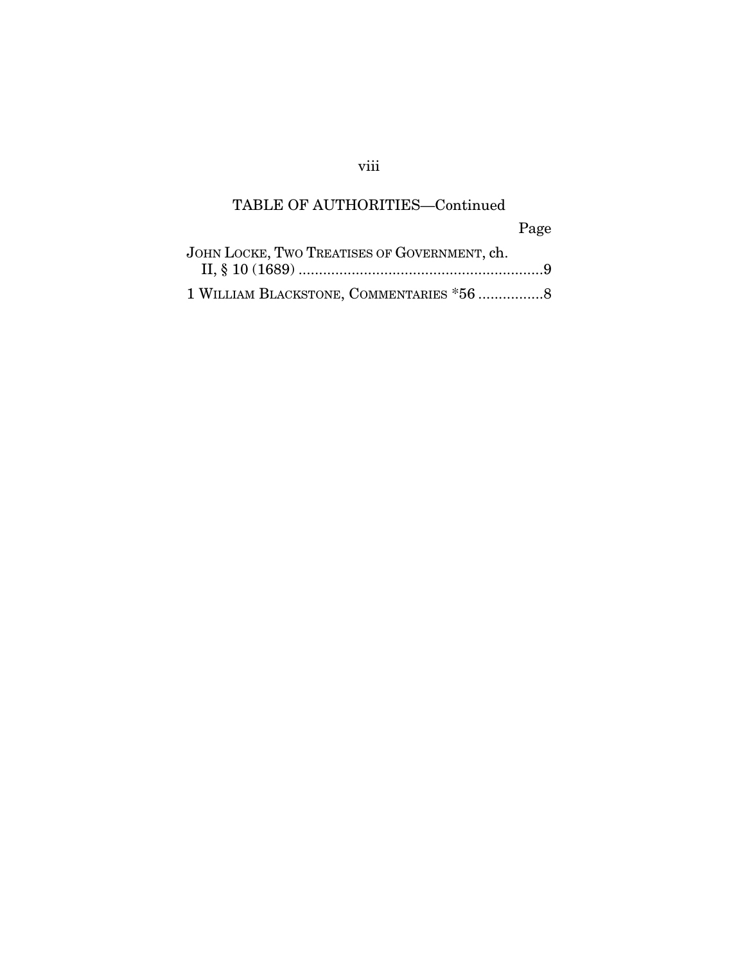## viii

## TABLE OF AUTHORITIES—Continued

Page

| JOHN LOCKE, TWO TREATISES OF GOVERNMENT, ch. |  |
|----------------------------------------------|--|
|                                              |  |
| 1 WILLIAM BLACKSTONE, COMMENTARIES *56 8     |  |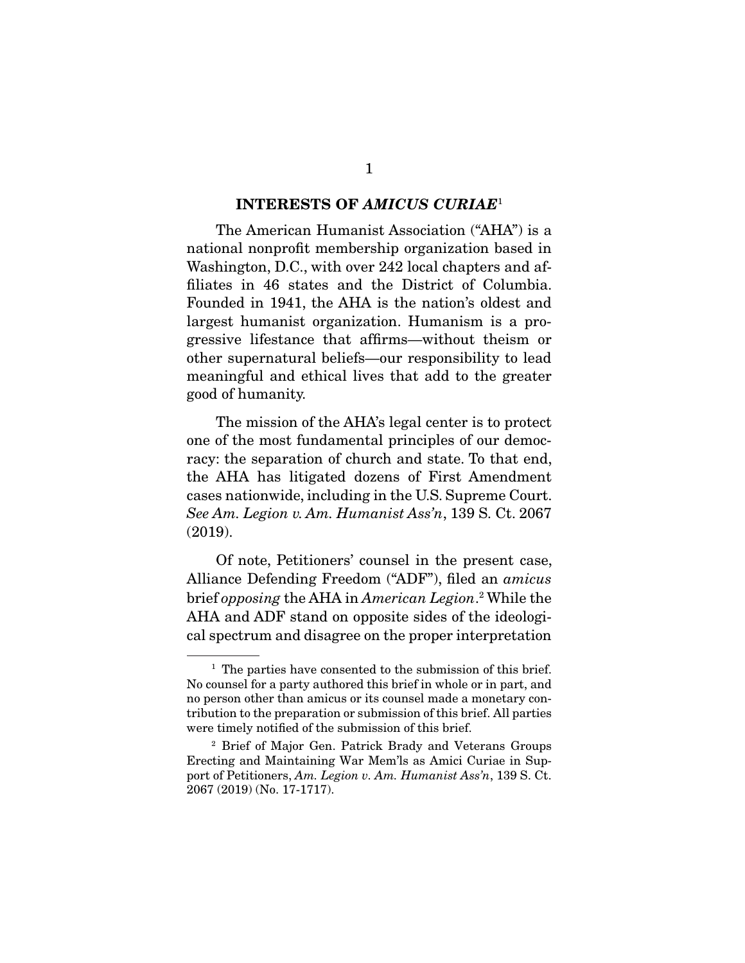#### **INTERESTS OF** *AMICUS CURIAE*1

The American Humanist Association ("AHA") is a national nonprofit membership organization based in Washington, D.C., with over 242 local chapters and affiliates in 46 states and the District of Columbia. Founded in 1941, the AHA is the nation's oldest and largest humanist organization. Humanism is a progressive lifestance that affirms—without theism or other supernatural beliefs—our responsibility to lead meaningful and ethical lives that add to the greater meaningful and ethical lives that add to the greater good of humanity.

The mission of the AHA's legal center is to protect one of the most fundamental principles of our democracy: the separation of church and state. To that end, the AHA has litigated dozens of First Amendment cases nationwide, including in the U.S. Supreme Court. See Am. Legion v. Am. Humanist Ass'n, 139 S. Ct. 2067  $\sum_{i=1}^{n}$ 

 $\Delta$ lliance Defending Freedom ("ADF"), filed an *amicus*<br>hristoppesing the  $\Delta$ H $\Delta$  in *American Legion*<sup>2</sup> While the brief opposing the AHA in American Legion.<sup>2</sup><br>AHA and ADF stand an apposite sides of the AHA and ADF stand on opposite sides of the ideological spectrum and disagree on the proper interpretation cal spectrum and disagree on the proper interpretation

<sup>&</sup>lt;sup>1</sup> The parties have consented to the submission of this brief.<br>No counsel for a party authored this brief in whole or in part, and no person other than amicus or its counsel made a monetary contribution to the preparation or submission of this brief. All parties were timely notified of the submission of this brief.

<sup>&</sup>lt;sup>2</sup> Brief of Major Gen. Patrick Brady and Veterans Groups Erecting and Maintaining War Mem'ls as Amici Curiae in Support of Petitioners, Am. Legion v. Am. Humanist Ass'n, 139 S. Ct.<br>2067 (2019) (No. 17-1717) 2067 (2019) (2019) (2019).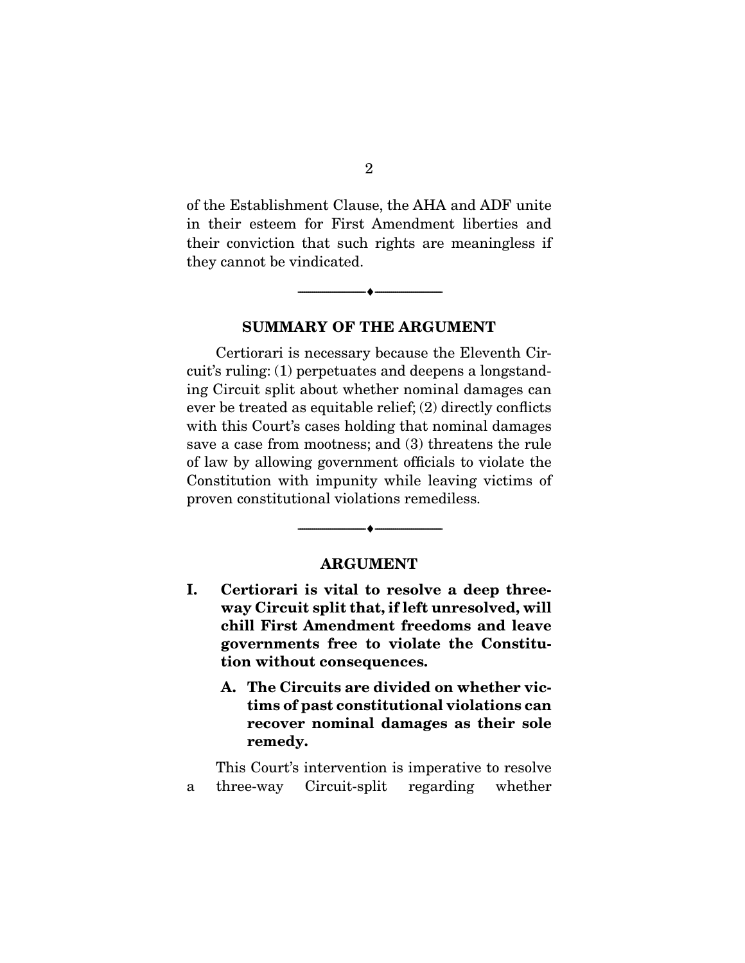of the Establishment Clause, the AHA and ADF unite their conviction that such rights are meaningless if they cannot be vindicated.  $t_{\rm g}$  can be vindicated.

**SUMMARY OF THE ARGUMENT** 

 $\overbrace{\hspace{2.5cm}}$   $\overbrace{\hspace{2.5cm}}$ 

Certiorari is necessary because the Eleventh Cir-<br>cuit's ruling: (1) perpetuates and deepens a longstanding Circuit split about whether nominal damages can ever be treated as equitable relief;  $(2)$  directly conflicts with this Court's cases holding that nominal damages save a case from mootness; and  $(3)$  threatens the rule of law by allowing government officials to violate the Constitution with impunity while leaving victims of proven constitutional violations remediless. proven constitutional violations remediless.

#### **ARGUMENT**

--------------------------------- ♦ ---------------------------------

- **I. Certiorari is vital to resolve a deep threeway Circuit split that, if left unresolved, will chill First Amendment freedoms and leave governments free to violate the Constitution without consequences.** 
	- **A. The Circuits are divided on whether victims of past constitutional violations can recover nominal damages as their sole remedy.**

This Court's intervention is imperative to resolve<br>a three-way Circuit-split regarding whether  $\frac{1}{2}$  three-way Circuit-split regarding whether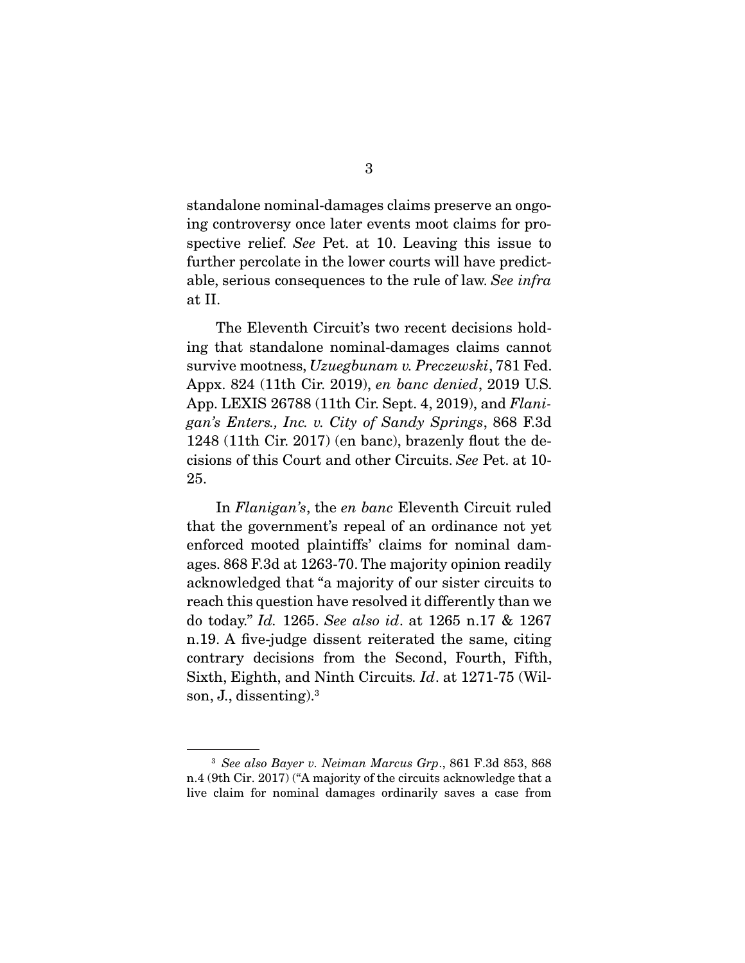standalone nominal-damages claims preserve an ongospective relief. See Pet. at 10. Leaving this issue to  $\frac{1}{2}$  further percelate in the lewer courts will be proposed to able, serious consequences to the rule of law. See infra

The Eleventh Circuit's two recent decisions hold-<br>ing that standalone nominal-damages claims cannot survive mootness,  $Uzuegbunan v. Preczewski, 781$  Fed.<br>Appy  $824$  (11th Cir. 2019) en bane denied. 2019 U.S. Appx. 824 (11th Cir. 2019), en banc denied, 2019 U.S. App. LEXIS 26788 (11th Cir. Sept. 4, 2019), and Flanigan's Enters., Inc. v. City of Sandy Springs, 868 F.3d 1248 (11th Cir. 2017) (en banc), brazenly flout the decisions of this Court and other Circuits. See Pet. at  $10$ -25.

In *Flanigan's*, the *en banc* Eleventh Circuit ruled<br>that the government's repeal of an ordinance not yet enforced mooted plaintiffs' claims for nominal damages. 868 F.3d at 1263-70. The majority opinion readily acknowledged that "a majority of our sister circuits to reach this question have resolved it differently than we do today." Id. 1265. See also id. at 1265 n.17  $\&$  1267 n.19. A five-judge dissent reiterated the same, citing contrary decisions from the Second, Fourth, Fifth, Sixth, Eighth, and Ninth Circuits. Id. at 1271-75 (Wilson, J., dissenting).3

<sup>&</sup>lt;sup>3</sup> See also Bayer v. Neiman Marcus Grp., 861 F.3d 853, 868 n.4 (9th Cir. 2017) ("A majority of the circuits acknowledge that a live claim for nominal damages ordinarily saves a case from live claim for nominal damages ordinarily saves a case from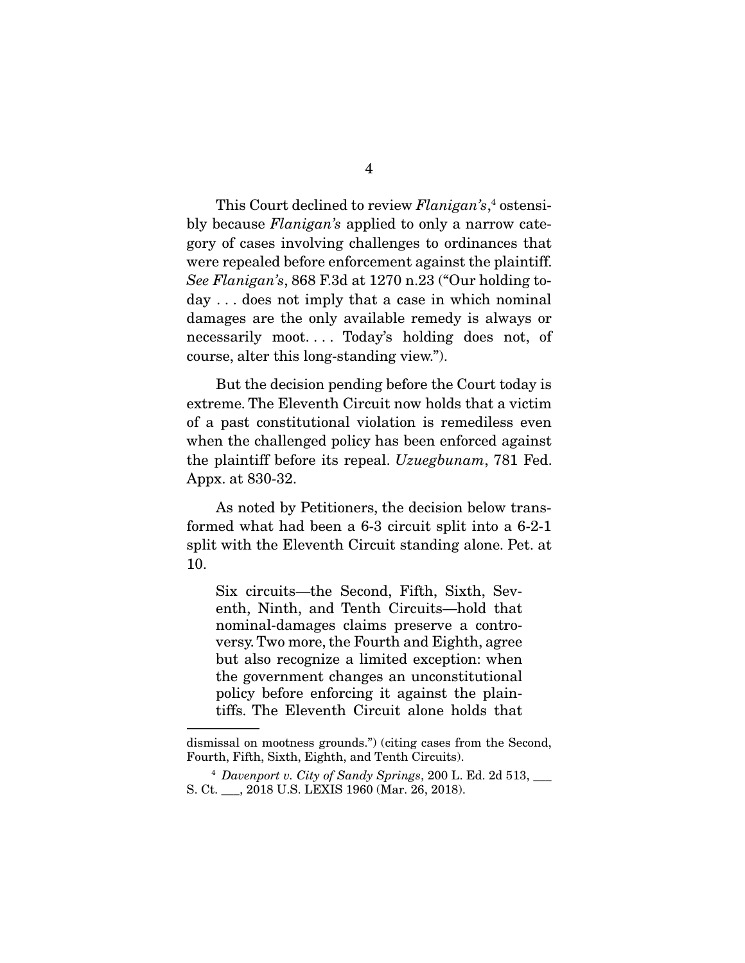This Court declined to review  $Flanigan's$ ,<sup>4</sup><br>bly because  $Flanisan's$  applied to only a narr bly because  $Flanigan's$  applied to only a narrow category of cases involving challenges to ordinances that were repealed before enforcement against the plaintiff. See Flanigan's, 868 F.3d at 1270 n.23 ("Our holding today . . . does not imply that a case in which nominal damages are the only available remedy is always or necessarily moot.... Today's holding does not, of course, alter this long-standing view.". course, alter this long-standing view.").

But the decision pending before the Court today is<br>extreme. The Eleventh Circuit now holds that a victim of a past constitutional violation is remediless even when the challenged policy has been enforced against the plaintiff before its repeal.  $Uzuegbunan$ , 781 Fed. Appx. at 830-32.

As noted by Petitioners, the decision below trans-<br>formed what had been a 6-3 circuit split into a 6-2-1  $f_{\text{c}}$  and the formulation of  $f_{\text{c}}$  conditional between  $f_{\text{c}}$  and  $f_{\text{c}}$  $\frac{1}{10}$ 10.

Six circuits—the Second, Fifth, Sixth, Sevnominal-damages claims preserve a controversy. Two more, the Fourth and Eighth, agree but also recognize a limited exception: when the government changes an unconstitutional policy before enforcing it against the plaintiffs. The Eleventh Circuit alone holds that tifis. The Eleventh Circuit alone holds that

dismissal on mootness grounds.") (citing cases from the Second, Fourth, Fifth, Sixth, Eighth, and Tenth Circuits).

Fourth, Fifth, Sixth, Eighth, and Tenth Circuits). <sup>4</sup> Davenport v. City of Sandy Springs, 200 L. Ed. 2d 513, \_\_\_ S. Ct. \_\_\_, 2018 U.S. LEXIS 1960 (Mar. 26, 2018).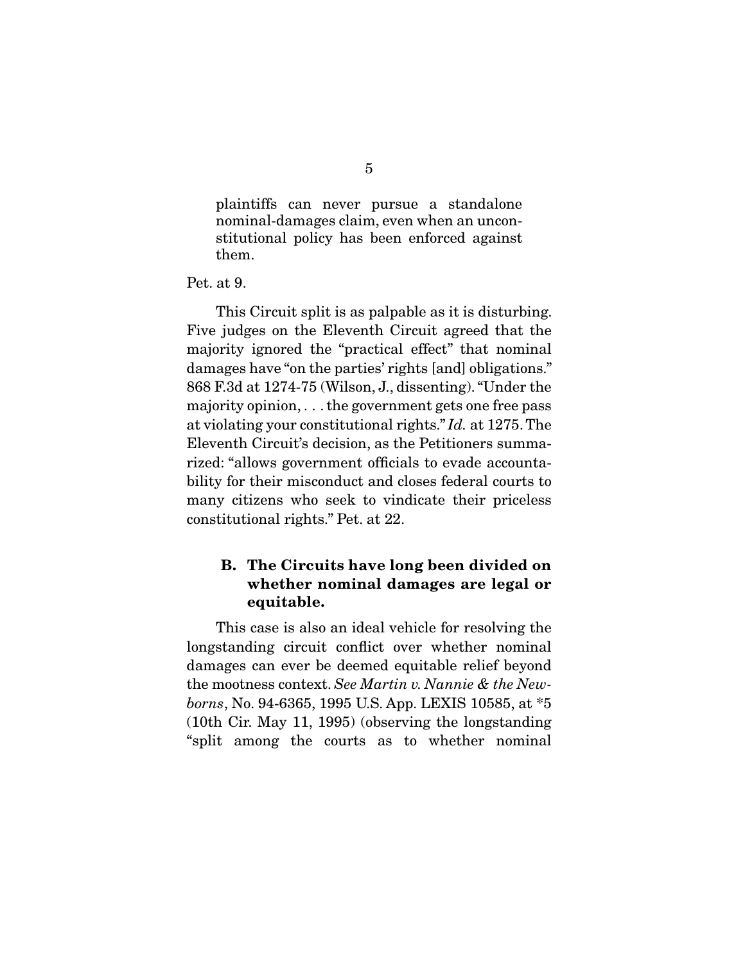plaintiffs can never pursue a standalone<br>nominal-damages claim, even when an unconnominal notice is a second-damager constitutional policy has been enforced against<br>them them.

Pet. at 9.

This Circuit split is as palpable as it is disturbing.<br>Five judges on the Eleventh Circuit agreed that the majority ignored the "practical effect" that nominal damages have "on the parties' rights [and] obligations."  $868$  F.3d at 1274-75 (Wilson, J., dissenting). "Under the majority opinion, ... the government gets one free pass at violating your constitutional rights."  $Id$ . at 1275. The Eleventh Circuit's decision, as the Petitioners summa-<br>rized: "allows government officials to evade accountability for their misconduct and closes federal courts to many citizens who seek to vindicate their priceless  $\frac{1}{2}$  constitutional rights.  $\frac{1}{2}$  Det at 99 constitutional rights. "Peter at 22.22"

#### **B. The Circuits have long been divided on whether nominal damages are legal or equitable.**

This case is also an ideal vehicle for resolving the longstanding circuit conflict over whether nominal damages can ever be deemed equitable relief beyond the mootness context. See Martin v. Nannie & the Newborns, No. 94-6365, 1995 U.S. App. LEXIS 10585, at \*5 (10th Cir. May 11, 1995) (observing the longstanding  $\frac{1}{2}$  (10th Cir. May 11, 1995) (observing the longstanding  $\mathbf{r}_s$  is a to  $\mathbf{g}$  the courts as to whether nominal the courts as to  $\mathbf{g}$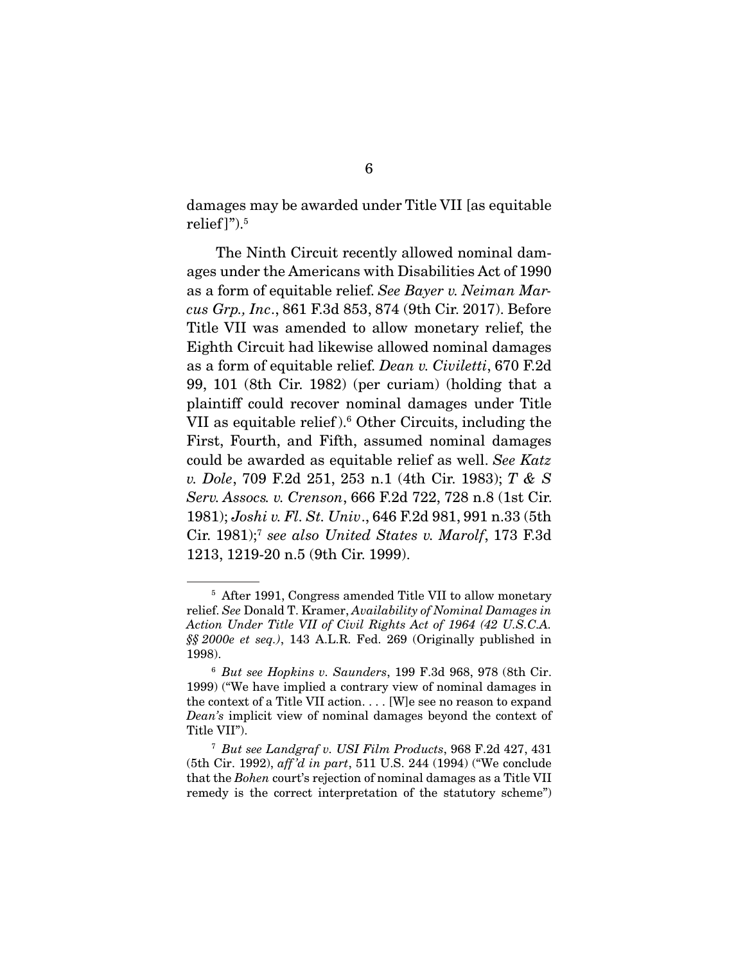damages may be awarded under Title VII [as equitable relief<sup>1</sup>").<sup>5</sup>

The Ninth Circuit recently allowed nominal damages under the Americans with Disabilities Act of 1990 as a form of equitable relief. See Bayer v. Neiman Mar-<br>aug Grn, Ing. 861 E 3d 853, 874 (0th Gir 2017). Before cus Grp., Inc., 861 F.3d 853, 874 (9th Cir. 2017). Before<br>Title VII was amended to allow monetary relief, the Eighth Circuit had likewise allowed nominal damages as a form of equitable relief. Dean v. Civiletti, 670 F.2d<br>
as  $101$  (8th Cir. 1982) (per euriam) (bolding that a 99, 101 (8th Cir. 1982) (per curiam) (holding that a VII as equitable relief). $6$  Other Circuits, including the VII as equitable relief. Other Circuits, including the<br>First Fourth and Fifth assumed nominal damages could be awarded as equitable relief as well. See Katz v. Dole, 709 F.2d 251, 253 n.1 (4th Cir. 1983); T & S Serv. Assocs. v. Crenson, 666 F.2d 722, 728 n.8 (1st Cir. 1981); Joshi v. Fl. St. Univ., 646 F.2d 981, 991 n.33 (5th Cir. 1981);<sup>7</sup> see also United States v. Marolf, 173 F.3d 1213, 1219-20 n.5 (9th Cir. 1999).

Figure 1991, Congress amended Title VII to allow monetary<br>relief. See Donald T. Kramer, Availability of Nominal Damages in<br>Action Under Title VII of Civil Rights Act of 1964 (42 U.S.C.A. Action Under Title VII of Civil Rights Act of 1964 (42 U.S.C.A.  $$§$  2000e et seq.), 143 A.L.R. Fed. 269 (Originally published in 1998).

<sup>&</sup>lt;sup>6</sup> But see Hopkins v. Saunders, 199 F.3d 968, 978 (8th Cir.<br>1999). "We have implied a contrary view of nominal damages in 1999) ("We have implied a contrary view of nominal damages in the context of a Title VII action.... [W]e see no reason to expand  $Dean's implicit view of nominal damages beyond the context of  
\nTitho VII")$ 

<sup>&</sup>lt;sup>7</sup> But see Landgraf v. USI Film Products, 968 F.2d 427, 431<br>(5th Cir. 1992), aff'd in part, 511 U.S. 244 (1994) ("We conclude (5th Cir. 1992), aff 'd in part, 511 U.S. 244 (1994) ("We conclude that the Bohen court's rejection of nominal damages as a Title VII remedy is the correct interpretation of the statutory scheme")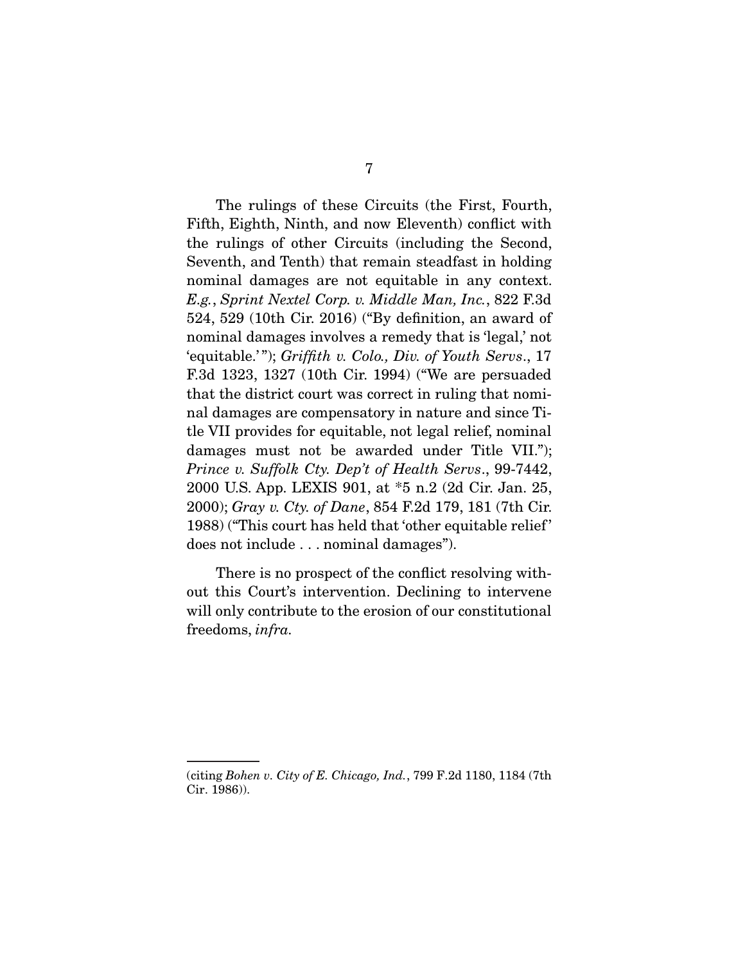The rulings of these Circuits (the First, Fourth, Fifth, Eighth, Ninth, and now Eleventh) conflict with the rulings of other Circuits (including the Second, Seventh, and Tenth) that remain steadfast in holding nominal damages are not equitable in any context.  $E.g., Sprint Nextel Corp. v. Middle Man, Inc., 822 F.3d  
\n524–529–(10<sup>th</sup> Cir. 2016) ("Bx definition, an proved of$ 524, 529 (10th Cir. 2016) ("By definition, an award of 'equitable.'"); Griffith v. Colo., Div. of Youth Servs., 17<br> $F_{3d}$  1393–1397 (10th Cir. 1994) ("We are persuaded F.3d 1323, 1327 (10th Cir. 1994) ("We are persuaded nal damages are compensatory in nature and since Title VII provides for equitable, not legal relief, nominal damages must not be awarded under Title VII."); Prince v. Suffolk Cty. Dep't of Health Servs., 99-7442,<br>2000 UIS App LEXIS 901, at  $*5$  p 2.03 Cir. Jap 25 2000); Gray v. Cty. of Dane, 854 F.2d 179, 181 (7th Cir.  $\frac{1088}{1088}$  ("This court has hold that 'other equitable relief'  $\frac{1}{2}$ does not include . . . nominal damages").

There is no prospect of the conflict resolving with-<br>out this Court's intervention. Declining to intervene will only contribute to the erosion of our constitutional freedoms, infra.

<sup>(</sup>citing Bohen v. City of E. Chicago, Ind., 799 F.2d 1180, 1184 (7th Cir. 1986)). cir. 1997).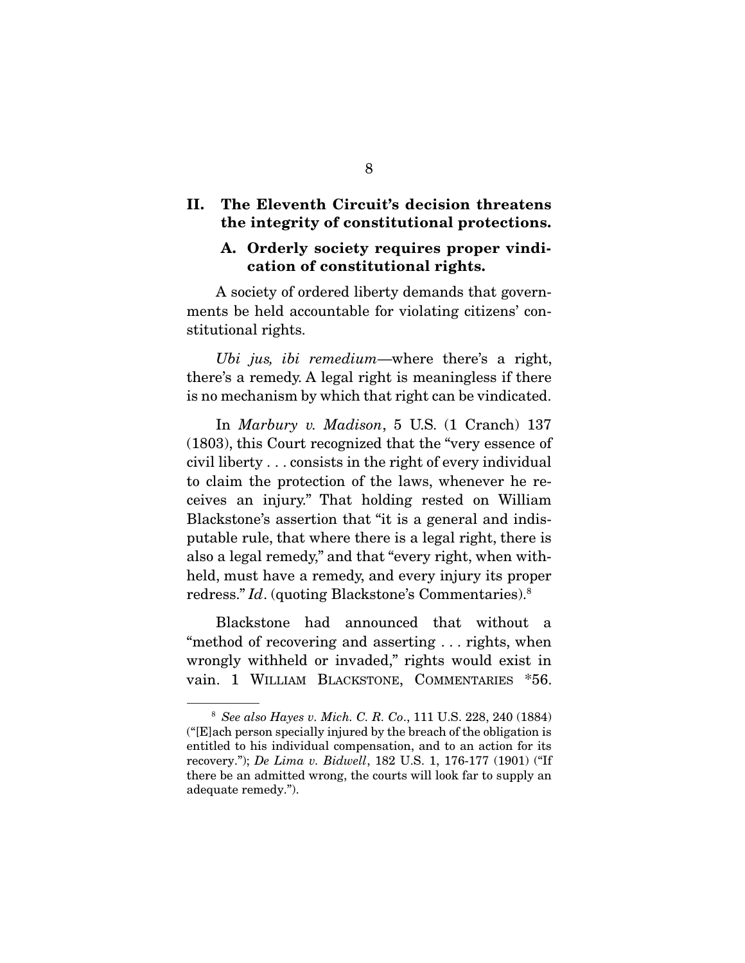#### **II. The Eleventh Circuit's decision threatens the integrity of constitutional protections.**

#### **A. Orderly society requires proper vindication of constitutional rights.**

A society of ordered liberty demands that governments be held accountable for violating citizens' constitutional rights.

Ubi jus, ibi remedium—where there's a right, there's a remedy. A legal right is meaningless if there  $\frac{1}{2}$  is no mechanism by which that right can be vindicated  $\sim$  mechanism by which that right can be vindicated.

In *Marbury v. Madison*, 5 U.S. (1 Cranch) 137 (1803), this Court recognized that the "very essence of  $\chi$  civil liberty  $\ldots$  consists in the right of every individual to claim the protection of the laws, whenever he receives an injury." That holding rested on William Blackstone's assertion that "it is a general and indisputable rule, that where there is a legal right, there is also a legal remedy," and that "every right, when withheld, must have a remedy, and every injury its proper  $h^{12}$  redress." Id. (quoting Blackstone's Commentaries).<sup>8</sup>

Blackstone had announced that without a<br>"method of recovering and asserting ... rights, when wrongly withheld or invaded," rights would exist in vain. 1 WILLIAM BLACKSTONE, COMMENTARIES \*56. vain. 1 WILLIAM BLACKSTONE, COMMENTARIES \*56.

<sup>&</sup>lt;sup>8</sup> See also Hayes v. Mich. C. R. Co., 111 U.S. 228, 240 (1884) ("[E]ach person specially injured by the breach of the obligation is entitled to his individual compensation, and to an action for its recovery.");  $De \ Lima \ v. \ Bidwell, 182 \ U.S. \ 1, 176-177 \ (1901)$  ("If there be an admitted wrong the courts will look far to supply an there be an admitted wrong, the courts will look far to supply an adequate remedy."). adequate remedy.").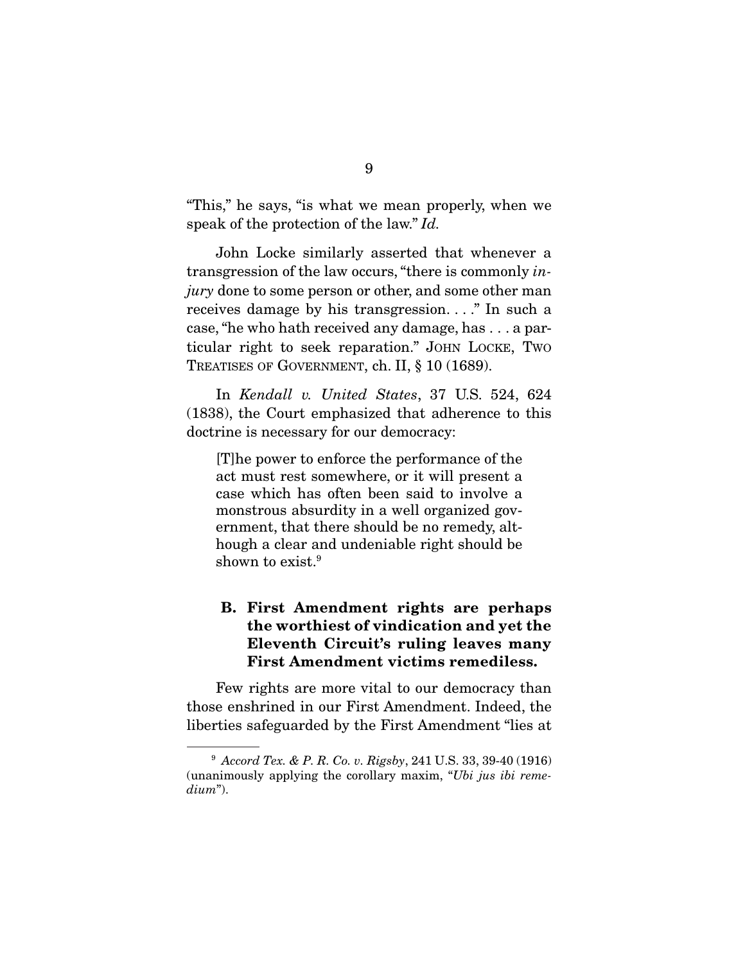speak of the protection of the law."  $Id$ .

transgression of the law occurs, "there is commonly  $\lim_{n \to \infty}$  does to some parson or other and some other man *jury* done to some person or other, and some other man receives damage by his transgression...." In such a case, "he who hath received any damage, has  $\dots$  a particular right to seek reparation." JOHN LOCKE, TWO ticular right to seek reparation." JOHN LOCKE, TWO  $T_{\text{max}}$  and  $T_{\text{max}}$  is  $\frac{1}{2}$ ,  $\frac{1}{2}$ 

In *Kendall v. United States*, 37 U.S. 524, 624 (1838), the Court emphasized that adherence to this doctrine is necessary for our democracy:  $\ddot{d}$  is necessary for our democracy:

[T]he power to enforce the performance of the case which has often been said to involve a monstrous absurdity in a well organized government, that there should be no remedy, although a clear and undeniable right should be  $\frac{1}{2}$  and  $\frac{1}{2}$  are  $\frac{1}{2}$  and  $\frac{1}{2}$  and  $\frac{1}{2}$  and  $\frac{1}{2}$  are  $\frac{1}{2}$  and  $\frac{1}{2}$  $\frac{1}{2}$ shown to exist.

## **B. First Amendment rights are perhaps the worthiest of vindication and yet the Eleventh Circuit's ruling leaves many First Amendment victims remediless.**

Few rights are more vital to our democracy than<br>those enshrined in our First Amendment. Indeed, the liberties safeguarded by the First Amendment "lies at  $\mathcal{L}_{\mathcal{G}}$  is the  $\mathcal{L}_{\mathcal{G}}$  and  $\mathcal{L}_{\mathcal{G}}$  at  $\mathcal{L}_{\mathcal{G}}$  at  $\mathcal{L}_{\mathcal{G}}$  at  $\mathcal{L}_{\mathcal{G}}$ 

<sup>9</sup> Accord Tex. & P. R. Co. v. Rigsby, 241 U.S. 33, 39-40 (1916) (unanimously applying the corollary maxim, "Ubi jus ibi remedium").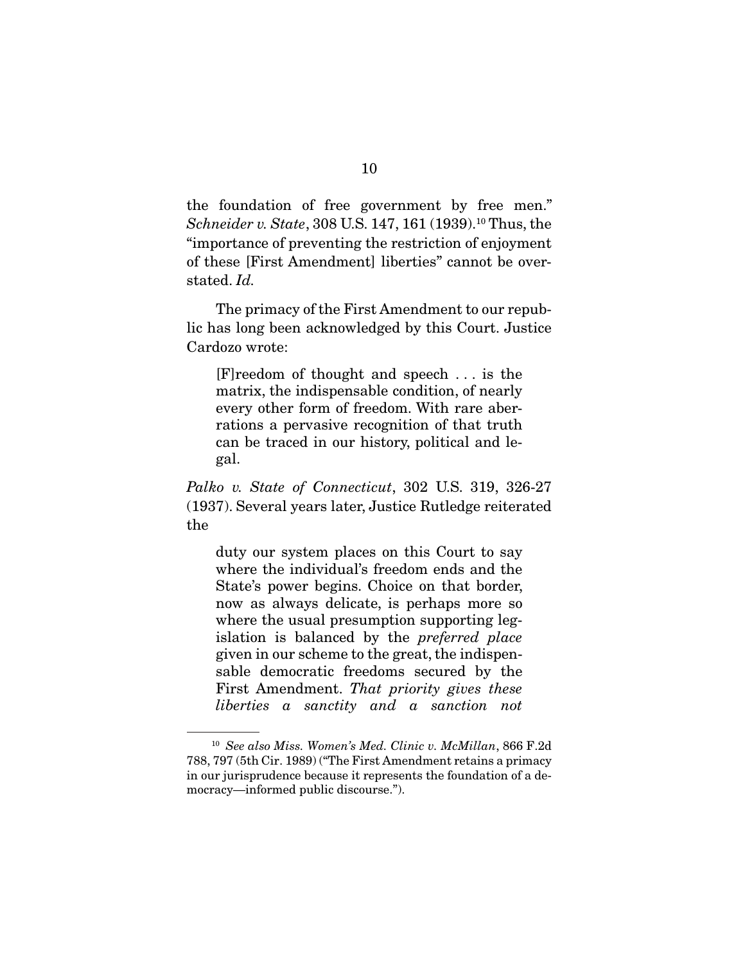$Schneider$  v. State, 308 U.S. 147, 161 (1939).<sup>10</sup> Thus, the "importance of proventing the restriction of opioyment" "importance of preventing the restriction of enjoyment stated.  $Id$ .

The primacy of the First Amendment to our repub-<br>lic has long been acknowledged by this Court. Justice Cardozo wrote: Cardozo wrote:

 $[F]$ reedom of thought and speech ... is the matrix, the indispensable condition, of nearly every other form of freedom. With rare aberrations a pervasive recognition of that truth can be traced in our history, political and lecan be traced in our linearity, political and le-<br> $\alpha$ al gal.

Palko v. State of Connecticut, 302 U.S. 319, 326-27 (1937). Several years later, Justice Rutledge reiterated  $\sum_{i=1}^{n}$ the

duty our system places on this Court to say<br>where the individual's freedom ends and the State's power begins. Choice on that border, now as always delicate, is perhaps more so where the usual presumption supporting legislation is balanced by the *preferred place*<br>given in our scheme to the great the indianengiven in our scheme to the great, the indispen-<br>sable democratic freedoms secured by the First Amendment. That priority gives these<br>liberties a sanctity and a sanction not liberties a sanctity and a sanction not

<sup>&</sup>lt;sup>10</sup> See also Miss. Women's Med. Clinic v. McMillan, 866 F.2d 788, 797 (5th Cir. 1989) ("The First Amendment retains a primacy in our jurisprudence because it represents the foundation of a democracy—informed public discourse."). mocracy—informed public discourse.").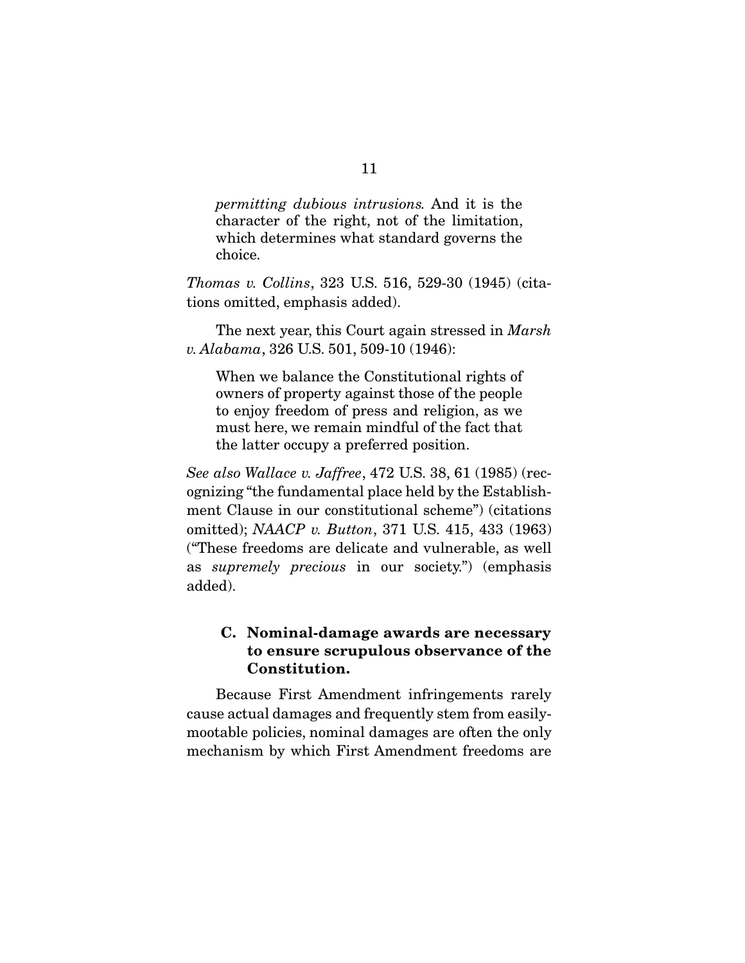permitting dubious intrusions. And it is the character of the right, not of the limitation, which determines what standard governs the which determines what standard governs the choice.

Thomas v. Collins, 323 U.S. 516, 529-30 (1945) (citations omitted, emphasis added).

The next year, this Court again stressed in *Marsh* v. Alabama, 326 U.S. 501, 509-10 (1946):

When we balance the Constitutional rights of<br>owners of property against those of the people to enjoy freedom of press and religion, as we must here, we remain mindful of the fact that must here, we remain mind on the fact that the latter occupy a preferred position.

See also Wallace v. Jaffree, 472 U.S. 38, 61 (1985) (recognizing "the fundamental place held by the Establishment Clause in our constitutional scheme") (citations mitted);  $NAACP$  v. Button, 371 U.S. 415, 433 (1963) as *supremely precious* in our society.") (emphasis added) .........<br>...

## **C. Nominal-damage awards are necessary to ensure scrupulous observance of the Constitution.**

Because First Amendment infringements rarely<br>cause actual damages and frequently stem from easilymootable policies, nominal damages are often the only  $\frac{1}{2}$  moothabites, now in the original damages are often the original damages  $\frac{1}{2}$ mechanism by which First Americanism are conclusions are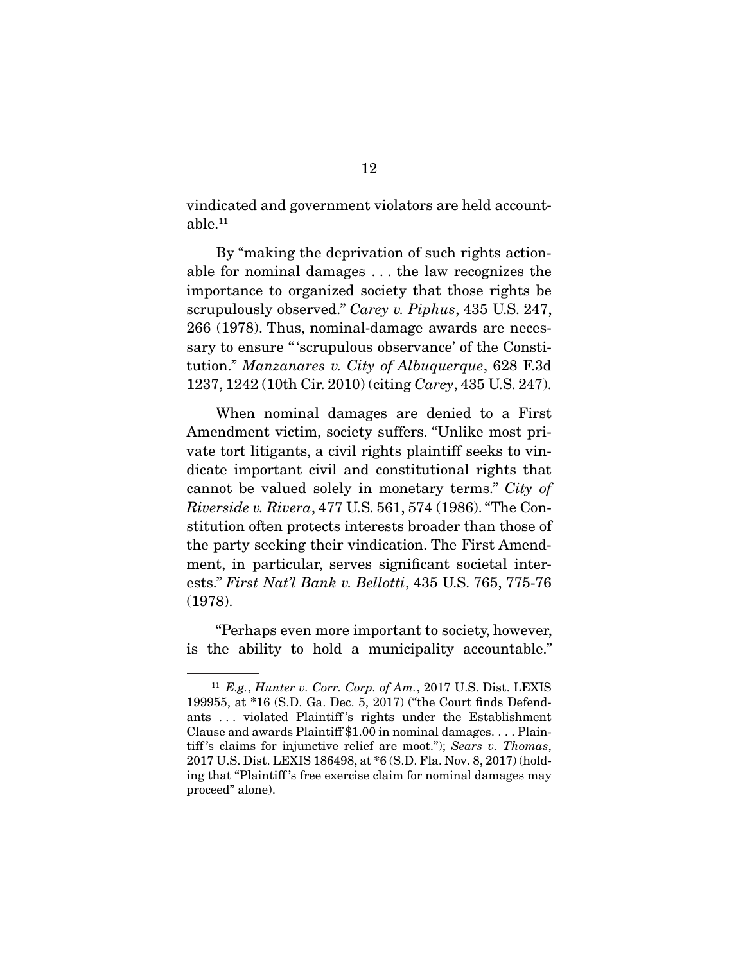vindicated and government violators are held accountable.<sup>11</sup>

By "making the deprivation of such rights action-<br>able for nominal damages ... the law recognizes the importance to organized society that those rights be  $\frac{1}{2}$  scrupulously observed." Carey v. Piphus, 435 U.S. 247,  $\frac{266}{1078}$  Thus, nominal damage awards are neces 266 (1978). Thus, nominal-damage awards are necessary to ensure "'scrupulous observance' of the Constitution." Manzanares v. City of Albuquerque, 628 F.3d<br>1937-1949 (10th Cir. 2010) (citing Carey, 435 U.S. 247) 1237, 1242 (10th Cir. 2010) (citing Carey, 435 U.S. 247).

When nominal damages are denied to a First<br>Amendment victim, society suffers. "Unlike most private tort litigants, a civil rights plaintiff seeks to vindicate important civil and constitutional rights that cannot be valued solely in monetary terms." City of<br>
Einergide v Binerg 477 U.S. 561, 574 (1986) "The Con-Riverside v. Rivera, 477 U.S. 561, 574 (1986). "The Constitution often protects interests broader than those of the party seeking their vindication. The First Amendment, in particular, serves significant societal interests." First Nat'l Bank v. Bellotti, 435 U.S. 765, 775-76<br>(1978)  $(1978)$ 

"Perhaps even more important to society, however, is the ability to hold a municipality accountable." is the ability to hold a municipality accountable.

<sup>&</sup>lt;sup>11</sup> E.g., Hunter v. Corr. Corp. of Am., 2017 U.S. Dist. LEXIS 199955, at \*16 (S.D. Ga. Dec. 5, 2017) ("the Court finds Defendants ... violated Plaintiff's rights under the Establishment Clause and awards Plaintiff  $$1.00$  in nominal damages... Plaintiff's claims for injunctive relief are moot."); Sears v. Thomas,<br>2017 U.S. Dist. LEXIS 186498, at \*6.(S.D. Fla. Nov. 8, 2017) (hold.  $2017$  U.S. Distribution  $2017$  C (S.D. Fla. Nov. 8, 2017) (holding that "Plaintiff 's free exercise claim for nominal damages may proceed" alone).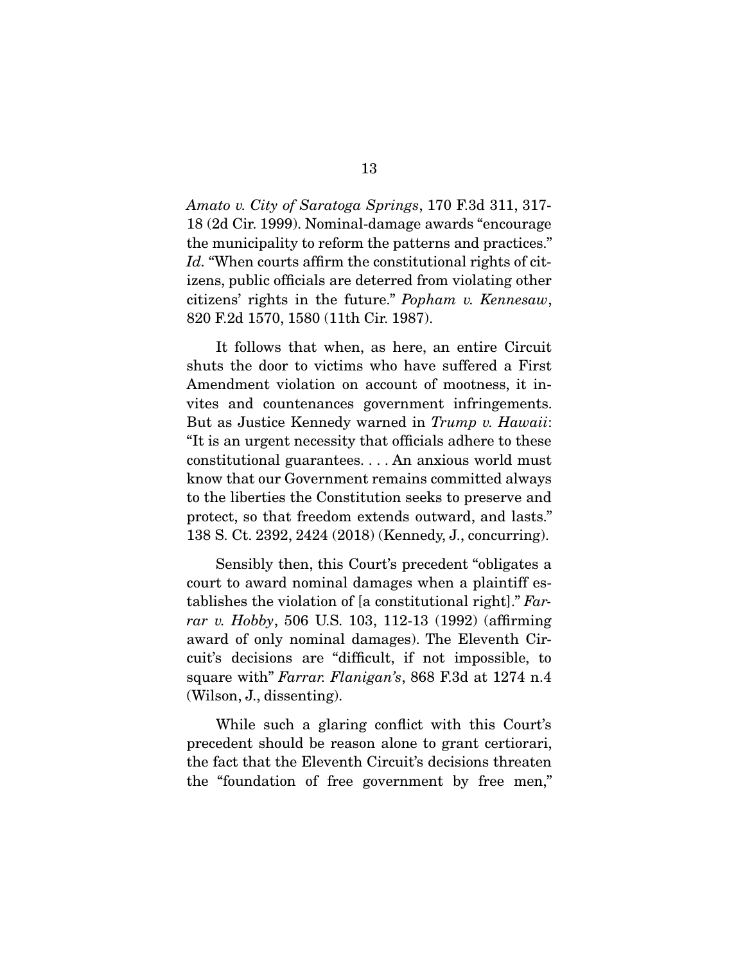Amato v. City of Saratoga Springs, 170 F.3d 311, 317-<br>18 (2d Cir. 1999). Nominal-damage awards "encourage the municipality to reform the patterns and practices."  $It$ . "When courts affirm the constitutional rights of cit-<br>izons, public officials are determed from violating other. citizens' rights in the future." *Popham v. Kennesaw*, 820 F.2d 1570, 1580 (11th Cir. 1987).

It follows that when, as here, an entire Circuit shuts the door to victims who have suffered a First Amendment violation on account of mootness, it invites and countenances government infringements. But as Justice Kennedy warned in Trump v. Hawaii:<br>"It is an urgant peopsity that efficials adhere to these "It is an urgent necessity that officials adhere to these constitutional guarantees.... An anxious world must know that our Government remains committed always to the liberties the Constitution seeks to preserve and protect, so that freedom extends outward, and lasts." protect, so that freedom extends outward, and lasts."  $138.21 \cdot 1393$  ( $239.29 \cdot 1393$ ) ( $29.929 \cdot 1393$ ) ( $29.99 \cdot 1393$ ) ( $29.99 \cdot 1393$ ) ( $29.99 \cdot 1393$ ) ( $29.99 \cdot 1393$ ) ( $29.99 \cdot 1393$ ) ( $29.99 \cdot 1393$ ) ( $29.99 \cdot 1393$ ) ( $29.99 \cdot 1393$ ) ( $29.99 \cdot 1393$ ) ( $29.99 \cdot 1393$ )

Sensibly then, this Court's precedent "obligates a court to award nominal damages when a plaintiff establishes the violation of [a constitutional right]." Far-<br>rar u Hobby 506 U.S. 102, 112, 12. (1992) (officing rar v. Hobby, 506 U.S. 103, 112-13 (1992) (affirming award of only nominal damages). The Eleventh Circuit's decisions are "difficult, if not impossible, to square with" Farrar. Flanigan's, 868 F.3d at 1274 n.4  $\left( \cdots \cdots \cdots \right)$ 

While such a glaring conflict with this Court's precedent should be reason alone to grant certiorari, the fact that the Eleventh Circuit's decisions threaten  $\frac{1}{\pi}$  the "foundation of free government by free mon"  $\sum_{i=1}^{n}$  foundation of free government by free mean,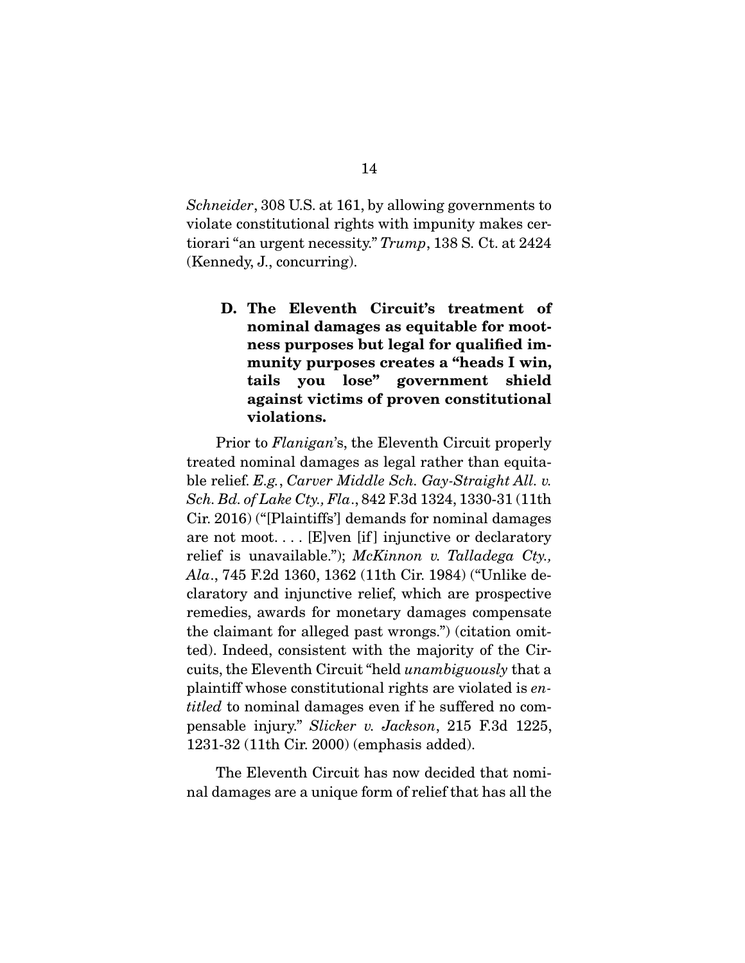Schneider, 308 U.S. at 161, by allowing governments to violate constitutional rights with impunity makes certiorari "an urgent necessity."  $Trump$ , 138 S. Ct. at 2424  $\zeta$  (and  $\zeta$ ),  $\zeta$  and  $\zeta$ 

**D. The Eleventh Circuit's treatment of nominal damages as equitable for mootness purposes but legal for qualified immunity purposes creates a "heads I win, tails you lose" government shield against victims of proven constitutional violations.** 

Prior to *Flanigan's*, the Eleventh Circuit properly treated nominal damages as legal rather than equitable relief. E.g., Carver Middle Sch. Gay-Straight All. v.<br>Seh Bd of Lake Ctv. Fla. 842 F 3d 1324-1330-31 (11th Sch. Bd. of Lake Cty., Fla., 842 F.3d 1324, 1330-31 (11th<br>Cir. 2016) ("[Plaintiffs"] demands for nominal damages are not moot.... [E]ven [if] injunctive or declaratory relief is unavailable.");  $McKinnon$  v. Talladega Cty.,<br> $Alg$ , 745 F.2d 1360, 1362 (11th Cir. 1984) ("Unlike de Ala., 745 F.2d 1360, 1362 (11th Cir. 1984) ("Unlike de-<br>claratory and injunctive relief, which are prospective remedies, awards for monetary damages compensate the claimant for alleged past wrongs.") (citation omitted). Indeed, consistent with the majority of the Circuits, the Eleventh Circuit "held *unambiguously* that a plaintiff whose constitutional rights are violated is entitled to nominal damages even if he suffered no compensable injury." Slicker v. Jackson, 215 F.3d 1225, 1231-32 (11th Cir. 2000) (emphasis added). 1231-32 (11th Circ 2000) (emphasis address).

The Eleventh Circuit has now decided that nominal damages are a unique form of relief that has all the nal damages are a unique form of relief that has all the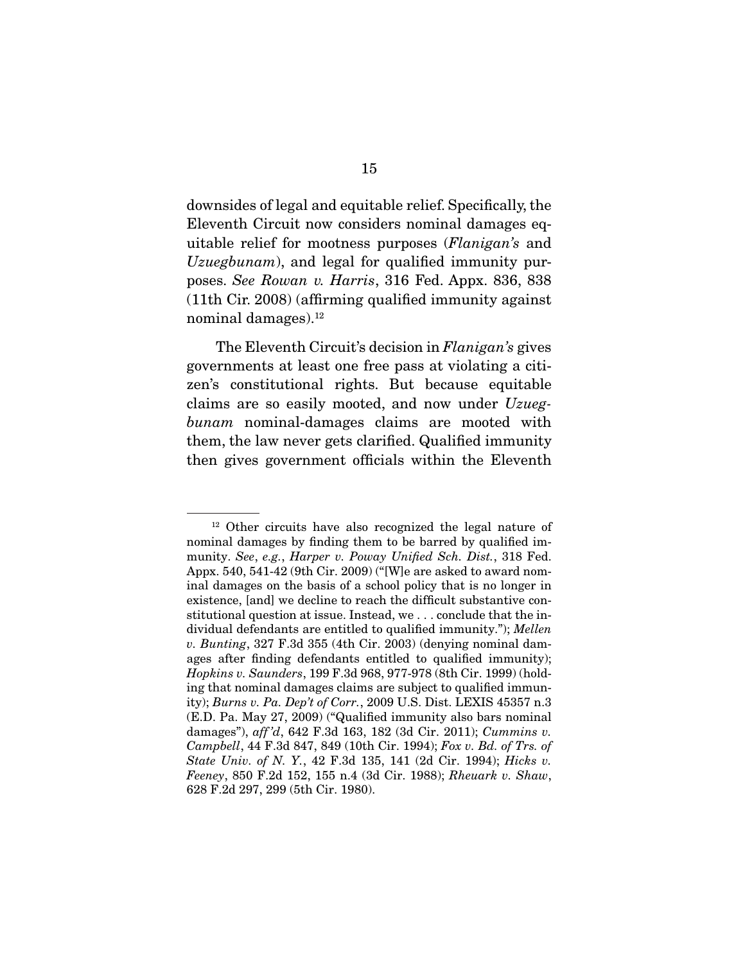downsides of legal and equitable relief. Specifically, the uitable relief for mootness purposes (*Flanigan's* and  $U_1$ Uzuegbunam), and legal for qualified immunity purposes. See Rowan v. Harris, 316 Fed. Appx. 836, 838 (11th Cir. 2008) (affirming qualified immunity against  $10$  and  $10$  and  $10$  and  $10$  affirming  $q$  immunity against the moment of  $10$ nominal damages*)*.

The Eleventh Circuit's decision in *Flanigan's* gives governments at least one free pass at violating a citizen's constitutional rights. But because equitable  $z$  claims are so easily mooted, and now under  $Uzueg$ bunam nominal-damages claims are mooted with them, the law never gets clarified. Qualified immunity then, gives gets clarified in the Flexenth  $\sigma$ 

 $12$  Other circuits have also recognized the legal nature of nominal damages by finding them to be barred by qualified immunity. See, e.g., Harper v. Poway Unified Sch. Dist., 318 Fed.<br>Appy 540, 541-42 (9th Cir. 2009) ("We are asked to award nom-Appx. 540, 541-42 (9th Cir. 2009) ("[W]e are asked to award nom-<br>inal damages on the basis of a school policy that is no longer in existence, [and] we decline to reach the difficult substantive constitutional question at issue. Instead, we ... conclude that the in- $\frac{1}{2}$  dividual defendants are entitled to qualified immunity."); Mellen v. Bunting, 327 F.3d 355 (4th Cir. 2003) (denying nominal dam-<br>ages after finding defendants entitled to qualified immunity); ages after finally defendants entitled to qualitate dimensions;<br>Hopkins v. Saunders, 199 F.3d 968, 977-978 (8th Cir. 1999) (hold-<br>ing that nominal damages claims are subject to qualified immunity); *Burns v. Pa. Dep't of Corr.*, 2009 U.S. Dist. LEXIS 45357 n.3<br>(E D Pa. May 27, 2009) ("Qualified immunity also bars nominal  $\frac{1}{2}$  damages"), aff 'd, 642 F.3d 163, 182 (3d Cir. 2011); Cummins v.<br>Campbell, 44 F.3d 847, 849 (10th Cir. 1994); For v. Rd, of Trs, of Campbell, 44 F.3d 847, 849 (10th Cir. 1994); Fox v. Bd. of Trs. of State Univ. of N. Y., 42 F.3d 135, 141 (2d Cir. 1994); Hicks v. Feeney, 850 F.2d 152, 155 n.4 (3d Cir. 1988); Rheuark v. Shaw, 628 F.2d 297, 299 (5th Cir. 1980). 628 F.2d 297, 299 (5th Cir. 1980).